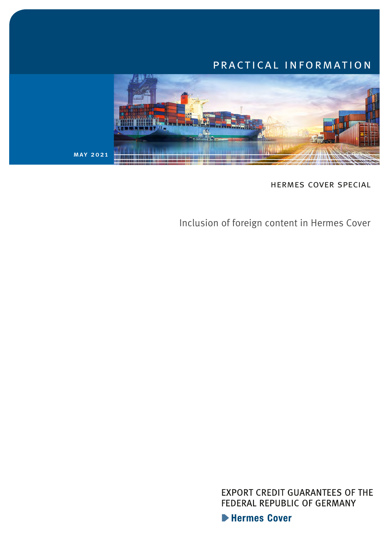# practical information



hermes cover special

Inclusion of foreign content in Hermes Cover

**EXPORT CREDIT GUARANTEES OF THE** FEDERAL REPUBLIC OF GERMANY

Hermes Cover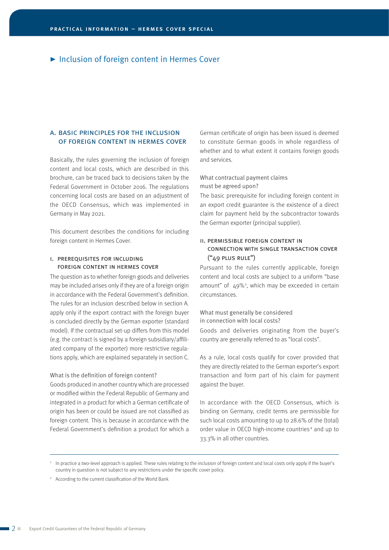# ▶ Inclusion of foreign content in Hermes Cover

## a. basic principles for the inclusion of foreign content in hermes cover

Basically, the rules governing the inclusion of foreign content and local costs, which are described in this brochure, can be traced back to decisions taken by the Federal Government in October 2016. The regulations concerning local costs are based on an adjustment of the OECD Consensus, which was implemented in Germany in May 2021.

This document describes the conditions for including foreign content in Hermes Cover.

## I. PREREQUISITES FOR INCLUDING foreign content in hermes cover

The question as to whether foreign goods and deliveries may be included arises only if they are of a foreign origin in accordance with the Federal Government's definition. The rules for an inclusion described below in section A. apply only if the export contract with the foreign buyer is concluded directly by the German exporter (standard model). If the contractual set-up differs from this model (e.g. the contract is signed by a foreign subsidiary/affiliated company of the exporter) more restrictive regulations apply, which are explained separately in section C.

#### What is the definition of foreign content?

Goods produced in another country which are processed or modified within the Federal Republic of Germany and integrated in a product for which a German certificate of origin has been or could be issued are not classified as foreign content. This is because in accordance with the Federal Government's definition a product for which a

German certificate of origin has been issued is deemed to constitute German goods in whole regardless of whether and to what extent it contains foreign goods and services.

What contractual payment claims must be agreed upon?

The basic prerequisite for including foreign content in an export credit guarantee is the existence of a direct claim for payment held by the subcontractor towards the German exporter (principal supplier).

## ii. permissible foreign content in connection with single transaction cover  $("49$  PLUS RULE")

Pursuant to the rules currently applicable, foreign content and local costs are subject to a uniform "base amount" of  $49\%$ <sup>1</sup>, which may be exceeded in certain circumstances.

What must generally be considered in connection with local costs?

Goods and deliveries originating from the buyer's country are generally referred to as "local costs".

As a rule, local costs qualify for cover provided that they are directly related to the German exporter's export transaction and form part of his claim for payment against the buyer.

In accordance with the OECD Consensus, which is binding on Germany, credit terms are permissible for such local costs amounting to up to 28.6% of the (total) order value in OECD high-income countries<sup>2</sup> and up to 33.3% in all other countries.

<sup>1</sup> In practice a two-level approach is applied. These rules relating to the inclusion of foreign content and local costs only apply if the buyer's country in question is not subject to any restrictions under the specific cover policy.

<sup>2</sup> According to the current classification of the World Bank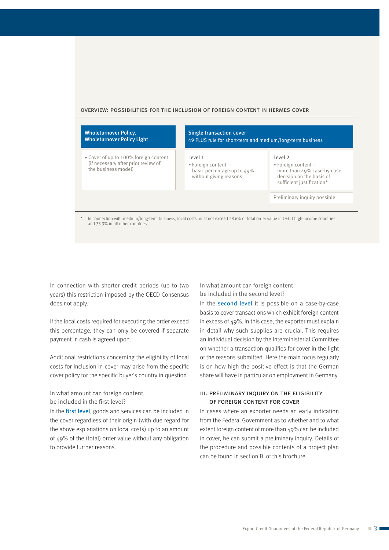#### overview: possibilities for the inclusion of foreign content in hermes cover

| <b>Wholeturnover Policy,</b><br><b>Wholeturnover Policy Light</b>                                   | <b>Single transaction cover</b><br>49 PLUS rule for short-term and medium/long-term business                  |                                                                                                                                      |
|-----------------------------------------------------------------------------------------------------|---------------------------------------------------------------------------------------------------------------|--------------------------------------------------------------------------------------------------------------------------------------|
| ► Cover of up to 100% foreign content<br>(if necessary after prior review of<br>the business model) | Level 1<br>$\blacktriangleright$ Foreign content -<br>basic percentage up to $49\%$<br>without giving reasons | Level 2<br>$\triangleright$ Foreign content -<br>more than 49% case-by-case<br>decision on the basis of<br>sufficient justification* |
|                                                                                                     |                                                                                                               | Preliminary inquiry possible                                                                                                         |

In connection with medium/long-term business, local costs must not exceed 28.6% of total order value in OECD high-income countries and 33.3% in all other countries

In connection with shorter credit periods (up to two years) this restriction imposed by the OECD Consensus does not apply.

If the local costs required for executing the order exceed this percentage, they can only be covered if separate payment in cash is agreed upon.

Additional restrictions concerning the eligibility of local costs for inclusion in cover may arise from the specific cover policy for the specific buyer's country in question.

## In what amount can foreign content be included in the first level?

In the first level, goods and services can be included in the cover regardless of their origin (with due regard for the above explanations on local costs) up to an amount of 49% of the (total) order value without any obligation to provide further reasons.

In what amount can foreign content be included in the second level?

In the **second level** it is possible on a case-by-case basis to cover transactions which exhibit foreign content in excess of 49%. In this case, the exporter must explain in detail why such supplies are crucial. This requires an individual decision by the Interministerial Committee on whether a transaction qualifies for cover in the light of the reasons submitted. Here the main focus regularly is on how high the positive effect is that the German share will have in particular on employment in Germany.

## iii. preliminary inquiry on the eligibility of foreign content for cover

In cases where an exporter needs an early indication from the Federal Government as to whether and to what extent foreign content of more than 49% can be included in cover, he can submit a preliminary inquiry. Details of the procedure and possible contents of a project plan can be found in section B. of this brochure.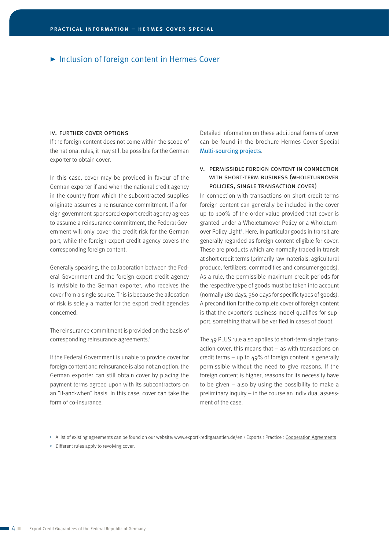# ▶ Inclusion of foreign content in Hermes Cover

#### iv. further cover options

If the foreign content does not come within the scope of the national rules, it may still be possible for the German exporter to obtain cover.

In this case, cover may be provided in favour of the German exporter if and when the national credit agency in the country from which the subcontracted supplies originate assumes a reinsurance commitment. If a foreign government-sponsored export credit agency agrees to assume a reinsurance commitment, the Federal Government will only cover the credit risk for the German part, while the foreign export credit agency covers the corresponding foreign content.

Generally speaking, the collaboration between the Federal Government and the foreign export credit agency is invisible to the German exporter, who receives the cover from a single source. This is because the allocation of risk is solely a matter for the export credit agencies concerned.

The reinsurance commitment is provided on the basis of corresponding reinsurance agreements.<sup>1</sup>

If the Federal Government is unable to provide cover for foreign content and reinsurance is also not an option, the German exporter can still obtain cover by placing the payment terms agreed upon with its subcontractors on an "if-and-when" basis. In this case, cover can take the form of co-insurance.

Detailed information on these additional forms of cover can be found in the brochure Hermes Cover Special [Multi-sourcing projects](https://www.agaportal.de/_Resources/Persistent/0a0260764b757ad463fba655053d6be1d60b866b/e_hds_multisourcing.pdf).

## v. permissible foreign content in connection with short-term business (wholeturnover policies, single transaction cover)

In connection with transactions on short credit terms foreign content can generally be included in the cover up to 100% of the order value provided that cover is granted under a Wholeturnover Policy or a Wholeturnover Policy Light<sup>2</sup>. Here, in particular goods in transit are generally regarded as foreign content eligible for cover. These are products which are normally traded in transit at short credit terms (primarily raw materials, agricultural produce, fertilizers, commodities and consumer goods). As a rule, the permissible maximum credit periods for the respective type of goods must be taken into account (normally 180 days, 360 days for specific types of goods). A precondition for the complete cover of foreign content is that the exporter's business model qualifies for support, something that will be verified in cases of doubt.

The 49 PLUS rule also applies to short-term single transaction cover, this means that – as with transactions on credit terms – up to  $49\%$  of foreign content is generally permissible without the need to give reasons. If the foreign content is higher, reasons for its necessity have to be given – also by using the possibility to make a preliminary inquiry – in the course an individual assessment of the case.

<sup>1</sup> A list of existing agreements can be found on our website: [www.exportkreditgarantien.de/en](https://www.agaportal.de/en) > Exports > Practice > [Cooperation Agreements](https://www.agaportal.de/en/exportkreditgarantien/praxis/kooperationen)

<sup>2</sup> Different rules apply to revolving cover.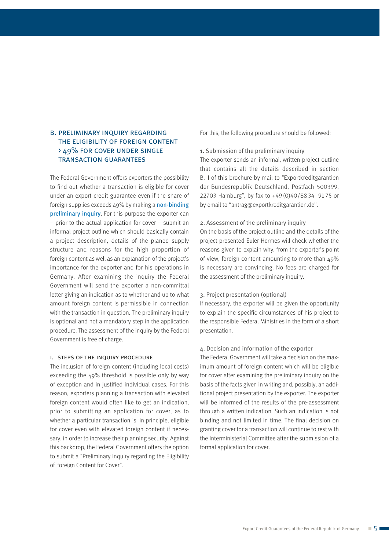# b. preliminary inquiry regarding the eligibility of foreign content > 49% for cover under single transaction guarantees

The Federal Government offers exporters the possibility to find out whether a transaction is eligible for cover under an export credit guarantee even if the share of foreign supplies exceeds 49% by making a non-binding preliminary inquiry. For this purpose the exporter can – prior to the actual application for cover – submit an informal project outline which should basically contain a project description, details of the planed supply structure and reasons for the high proportion of foreign content as well as an explanation of the project's importance for the exporter and for his operations in Germany. After examining the inquiry the Federal Government will send the exporter a non-committal letter giving an indication as to whether and up to what amount foreign content is permissible in connection with the transaction in question. The preliminary inquiry is optional and not a mandatory step in the application procedure. The assessment of the inquiry by the Federal Government is free of charge.

#### i. steps of the inquiry procedure

The inclusion of foreign content (including local costs) exceeding the 49% threshold is possible only by way of exception and in justified individual cases. For this reason, exporters planning a transaction with elevated foreign content would often like to get an indication, prior to submitting an application for cover, as to whether a particular transaction is, in principle, eligible for cover even with elevated foreign content if necessary, in order to increase their planning security. Against this backdrop, the Federal Government offers the option to submit a "Preliminary Inquiry regarding the Eligibility of Foreign Content for Cover".

For this, the following procedure should be followed:

#### 1. Submission of the preliminary inquiry

The exporter sends an informal, written project outline that contains all the details described in section B. II of this brochure by mail to "Exportkreditgarantien der Bundesrepublik Deutschland, Postfach 500399, 22703 Hamburg", by fax to +49 (0)40/88 34 - 91 75 or by email to "antrag@exportkreditgarantien.de".

#### 2. Assessment of the preliminary inquiry

On the basis of the project outline and the details of the project presented Euler Hermes will check whether the reasons given to explain why, from the exporter's point of view, foreign content amounting to more than 49% is necessary are convincing. No fees are charged for the assessment of the preliminary inquiry.

#### 3. Project presentation (optional)

If necessary, the exporter will be given the opportunity to explain the specific circumstances of his project to the responsible Federal Ministries in the form of a short presentation.

### 4. Decision and information of the exporter

The Federal Government will take a decision on the maximum amount of foreign content which will be eligible for cover after examining the preliminary inquiry on the basis of the facts given in writing and, possibly, an additional project presentation by the exporter. The exporter will be informed of the results of the pre-assessment through a written indication. Such an indication is not binding and not limited in time. The final decision on granting cover for a transaction will continue to rest with the Interministerial Committee after the submission of a formal application for cover.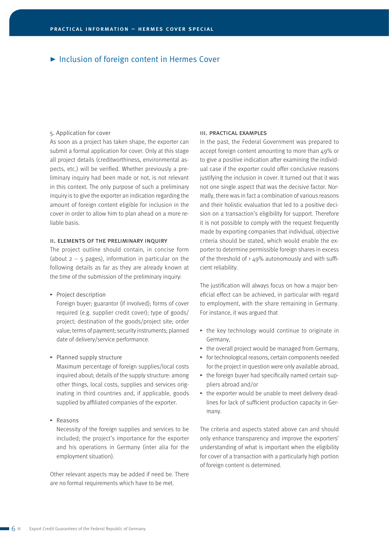# ▶ Inclusion of foreign content in Hermes Cover

#### 5. Application for cover

As soon as a project has taken shape, the exporter can submit a formal application for cover. Only at this stage all project details (creditworthiness, environmental aspects, etc.) will be verified. Whether previously a preliminary inquiry had been made or not, is not relevant in this context. The only purpose of such a preliminary inquiry is to give the exporter an indication regarding the amount of foreign content eligible for inclusion in the cover in order to allow him to plan ahead on a more reliable basis.

### ii. elements of the preliminary inquiry

The project outline should contain, in concise form (about  $2 - 5$  pages), information in particular on the following details as far as they are already known at the time of the submission of the preliminary inquiry:

 $\blacktriangleright$  Project description

Foreign buyer; guarantor (if involved); forms of cover required (e.g. supplier credit cover); type of goods/ project; destination of the goods/project site; order value; terms of payment; security instruments; planned date of delivery/service performance.

 $\blacktriangleright$  Planned supply structure

Maximum percentage of foreign supplies/local costs inquired about; details of the supply structure: among other things, local costs, supplies and services originating in third countries and, if applicable, goods supplied by affiliated companies of the exporter.

 $\triangleright$  Reasons

Necessity of the foreign supplies and services to be included; the project's importance for the exporter and his operations in Germany (inter alia for the employment situation).

Other relevant aspects may be added if need be. There are no formal requirements which have to be met.

#### iii. practical examples

In the past, the Federal Government was prepared to accept foreign content amounting to more than 49% or to give a positive indication after examining the individual case if the exporter could offer conclusive reasons justifying the inclusion in cover. It turned out that it was not one single aspect that was the decisive factor. Normally, there was in fact a combination of various reasons and their holistic evaluation that led to a positive decision on a transaction's eligibility for support. Therefore it is not possible to comply with the request frequently made by exporting companies that individual, objective criteria should be stated, which would enable the exporter to determine permissible foreign shares in excess of the threshold of  $>49\%$  autonomously and with sufficient reliability.

The justification will always focus on how a major beneficial effect can be achieved, in particular with regard to employment, with the share remaining in Germany. For instance, it was argued that

- $\rightarrow$  the key technology would continue to originate in Germany,
- $\rightarrow$  the overall project would be managed from Germany,
- $\rightarrow$  for technological reasons, certain components needed for the project in question were only available abroad,
- $\rightarrow$  the foreign buyer had specifically named certain suppliers abroad and/or
- $\rightarrow$  the exporter would be unable to meet delivery deadlines for lack of sufficient production capacity in Germany.

The criteria and aspects stated above can and should only enhance transparency and improve the exporters' understanding of what is important when the eligibility for cover of a transaction with a particularly high portion of foreign content is determined.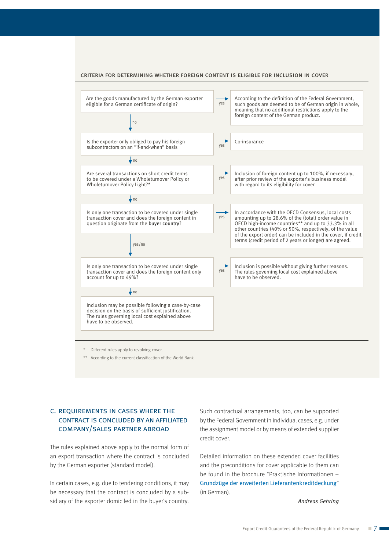



\* Different rules apply to revolving cover.

\*\* According to the current classification of the World Bank

# c. requirements in cases where the contract is concluded by an affiliated company/sales partner abroad

The rules explained above apply to the normal form of an export transaction where the contract is concluded by the German exporter (standard model).

In certain cases, e.g. due to tendering conditions, it may be necessary that the contract is concluded by a subsidiary of the exporter domiciled in the buyer's country.

Such contractual arrangements, too, can be supported by the Federal Government in individual cases, e.g. under the assignment model or by means of extended supplier credit cover.

Detailed information on these extended cover facilities and the preconditions for cover applicable to them can be found in the brochure "Praktische Informationen – Grundzüge der erweiterten Lieferantenkreditdeckung" (in German).

 *Andreas Gehring*